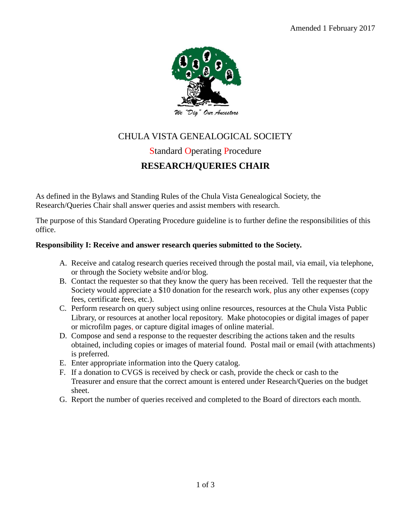

# CHULA VISTA GENEALOGICAL SOCIETY

# Standard Operating Procedure **RESEARCH/QUERIES CHAIR**

As defined in the Bylaws and Standing Rules of the Chula Vista Genealogical Society, the Research/Queries Chair shall answer queries and assist members with research.

The purpose of this Standard Operating Procedure guideline is to further define the responsibilities of this office.

### **Responsibility I: Receive and answer research queries submitted to the Society.**

- A. Receive and catalog research queries received through the postal mail, via email, via telephone, or through the Society website and/or blog.
- B. Contact the requester so that they know the query has been received. Tell the requester that the Society would appreciate a \$10 donation for the research work, plus any other expenses (copy fees, certificate fees, etc.).
- C. Perform research on query subject using online resources, resources at the Chula Vista Public Library, or resources at another local repository. Make photocopies or digital images of paper or microfilm pages, or capture digital images of online material.
- D. Compose and send a response to the requester describing the actions taken and the results obtained, including copies or images of material found. Postal mail or email (with attachments) is preferred.
- E. Enter appropriate information into the Query catalog.
- F. If a donation to CVGS is received by check or cash, provide the check or cash to the Treasurer and ensure that the correct amount is entered under Research/Queries on the budget sheet.
- G. Report the number of queries received and completed to the Board of directors each month.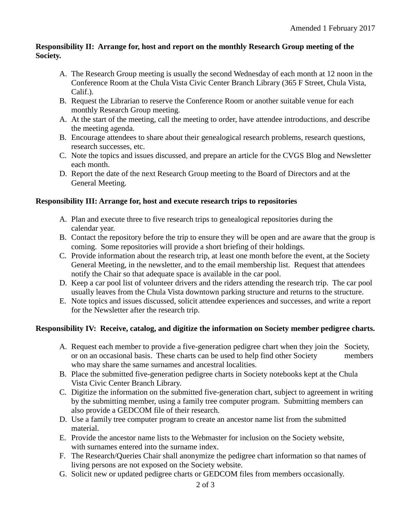#### **Responsibility II: Arrange for, host and report on the monthly Research Group meeting of the Society.**

- A. The Research Group meeting is usually the second Wednesday of each month at 12 noon in the Conference Room at the Chula Vista Civic Center Branch Library (365 F Street, Chula Vista, Calif.).
- B. Request the Librarian to reserve the Conference Room or another suitable venue for each monthly Research Group meeting.
- A. At the start of the meeting, call the meeting to order, have attendee introductions, and describe the meeting agenda.
- B. Encourage attendees to share about their genealogical research problems, research questions, research successes, etc.
- C. Note the topics and issues discussed, and prepare an article for the CVGS Blog and Newsletter each month.
- D. Report the date of the next Research Group meeting to the Board of Directors and at the General Meeting.

## **Responsibility III: Arrange for, host and execute research trips to repositories**

- A. Plan and execute three to five research trips to genealogical repositories during the calendar year.
- B. Contact the repository before the trip to ensure they will be open and are aware that the group is coming. Some repositories will provide a short briefing of their holdings.
- C. Provide information about the research trip, at least one month before the event, at the Society General Meeting, in the newsletter, and to the email membership list. Request that attendees notify the Chair so that adequate space is available in the car pool.
- D. Keep a car pool list of volunteer drivers and the riders attending the research trip. The car pool usually leaves from the Chula Vista downtown parking structure and returns to the structure.
- E. Note topics and issues discussed, solicit attendee experiences and successes, and write a report for the Newsletter after the research trip.

## **Responsibility IV: Receive, catalog, and digitize the information on Society member pedigree charts.**

- A. Request each member to provide a five-generation pedigree chart when they join the Society, or on an occasional basis. These charts can be used to help find other Society members who may share the same surnames and ancestral localities.
- B. Place the submitted five-generation pedigree charts in Society notebooks kept at the Chula Vista Civic Center Branch Library.
- C. Digitize the information on the submitted five-generation chart, subject to agreement in writing by the submitting member, using a family tree computer program. Submitting members can also provide a GEDCOM file of their research.
- D. Use a family tree computer program to create an ancestor name list from the submitted material.
- E. Provide the ancestor name lists to the Webmaster for inclusion on the Society website, with surnames entered into the surname index.
- F. The Research/Queries Chair shall anonymize the pedigree chart information so that names of living persons are not exposed on the Society website.
- G. Solicit new or updated pedigree charts or GEDCOM files from members occasionally.